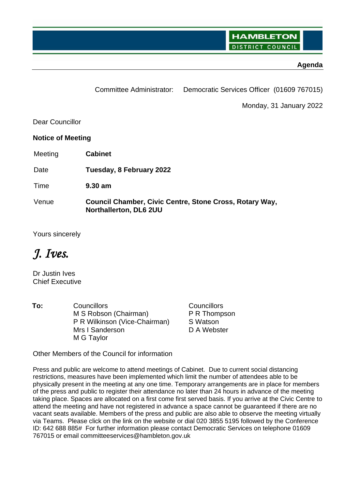# **Agenda**

|                          | Committee Administrator:                                                          | Democratic Services Officer (01609 767015) |
|--------------------------|-----------------------------------------------------------------------------------|--------------------------------------------|
|                          |                                                                                   | Monday, 31 January 2022                    |
| Dear Councillor          |                                                                                   |                                            |
| <b>Notice of Meeting</b> |                                                                                   |                                            |
| Meeting                  | <b>Cabinet</b>                                                                    |                                            |
| Date                     | Tuesday, 8 February 2022                                                          |                                            |
| Time                     | $9.30$ am                                                                         |                                            |
| Venue                    | Council Chamber, Civic Centre, Stone Cross, Rotary Way,<br>Northallerton, DL6 2UU |                                            |

Yours sincerely

# *J. Ives.*

Dr Justin Ives Chief Executive

**To:** Councillors **Councillors** Councillors M S Robson (Chairman) P R Wilkinson (Vice-Chairman) Mrs I Sanderson M G Taylor

P R Thompson S Watson D A Webster

Other Members of the Council for information

Press and public are welcome to attend meetings of Cabinet. Due to current social distancing restrictions, measures have been implemented which limit the number of attendees able to be physically present in the meeting at any one time. Temporary arrangements are in place for members of the press and public to register their attendance no later than 24 hours in advance of the meeting taking place. Spaces are allocated on a first come first served basis. If you arrive at the Civic Centre to attend the meeting and have not registered in advance a space cannot be guaranteed if there are no vacant seats available. Members of the press and public are also able to observe the meeting virtually via Teams. Please click on the link on the website or dial 020 3855 5195 followed by the Conference ID: 642 688 885# For further information please contact Democratic Services on telephone 01609 767015 or email committeeservices@hambleton.gov.uk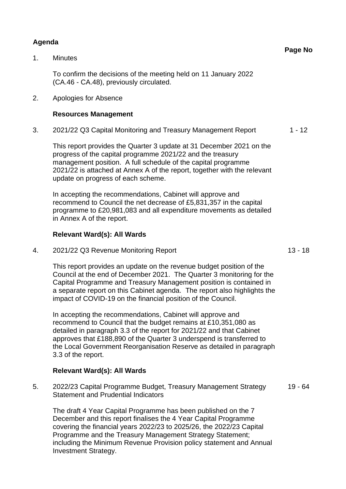# **Agenda**

1. Minutes

To confirm the decisions of the meeting held on 11 January 2022 (CA.46 - CA.48), previously circulated.

2. Apologies for Absence

## **Resources Management**

3. 2021/22 Q3 Capital Monitoring and Treasury Management Report 1 - 12

This report provides the Quarter 3 update at 31 December 2021 on the progress of the capital programme 2021/22 and the treasury management position. A full schedule of the capital programme 2021/22 is attached at Annex A of the report, together with the relevant update on progress of each scheme.

In accepting the recommendations, Cabinet will approve and recommend to Council the net decrease of £5,831,357 in the capital programme to £20,981,083 and all expenditure movements as detailed in Annex A of the report.

# **Relevant Ward(s): All Wards**

4. 2021/22 Q3 Revenue Monitoring Report 13 - 18

This report provides an update on the revenue budget position of the Council at the end of December 2021. The Quarter 3 monitoring for the Capital Programme and Treasury Management position is contained in a separate report on this Cabinet agenda. The report also highlights the impact of COVID-19 on the financial position of the Council.

In accepting the recommendations, Cabinet will approve and recommend to Council that the budget remains at £10,351,080 as detailed in paragraph 3.3 of the report for 2021/22 and that Cabinet approves that £188,890 of the Quarter 3 underspend is transferred to the Local Government Reorganisation Reserve as detailed in paragraph 3.3 of the report.

## **Relevant Ward(s): All Wards**

5. 2022/23 Capital Programme Budget, Treasury Management Strategy Statement and Prudential Indicators 19 - 64

The draft 4 Year Capital Programme has been published on the 7 December and this report finalises the 4 Year Capital Programme covering the financial years 2022/23 to 2025/26, the 2022/23 Capital Programme and the Treasury Management Strategy Statement; including the Minimum Revenue Provision policy statement and Annual Investment Strategy.

**Page No**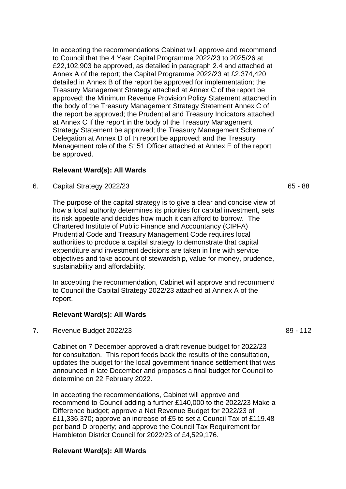In accepting the recommendations Cabinet will approve and recommend to Council that the 4 Year Capital Programme 2022/23 to 2025/26 at £22,102,903 be approved, as detailed in paragraph 2.4 and attached at Annex A of the report; the Capital Programme 2022/23 at £2,374,420 detailed in Annex B of the report be approved for implementation; the Treasury Management Strategy attached at Annex C of the report be approved; the Minimum Revenue Provision Policy Statement attached in the body of the Treasury Management Strategy Statement Annex C of the report be approved; the Prudential and Treasury Indicators attached at Annex C if the report in the body of the Treasury Management Strategy Statement be approved; the Treasury Management Scheme of Delegation at Annex D of th report be approved; and the Treasury Management role of the S151 Officer attached at Annex E of the report be approved.

## **Relevant Ward(s): All Wards**

6. Capital Strategy 2022/23 65 - 88

The purpose of the capital strategy is to give a clear and concise view of how a local authority determines its priorities for capital investment, sets its risk appetite and decides how much it can afford to borrow. The Chartered Institute of Public Finance and Accountancy (CIPFA) Prudential Code and Treasury Management Code requires local authorities to produce a capital strategy to demonstrate that capital expenditure and investment decisions are taken in line with service objectives and take account of stewardship, value for money, prudence, sustainability and affordability.

In accepting the recommendation, Cabinet will approve and recommend to Council the Capital Strategy 2022/23 attached at Annex A of the report.

#### **Relevant Ward(s): All Wards**

7. Revenue Budget 2022/23 89 - 112

Cabinet on 7 December approved a draft revenue budget for 2022/23 for consultation. This report feeds back the results of the consultation, updates the budget for the local government finance settlement that was announced in late December and proposes a final budget for Council to determine on 22 February 2022.

In accepting the recommendations, Cabinet will approve and recommend to Council adding a further £140,000 to the 2022/23 Make a Difference budget; approve a Net Revenue Budget for 2022/23 of £11,336,370; approve an increase of £5 to set a Council Tax of £119.48 per band D property; and approve the Council Tax Requirement for Hambleton District Council for 2022/23 of £4,529,176.

## **Relevant Ward(s): All Wards**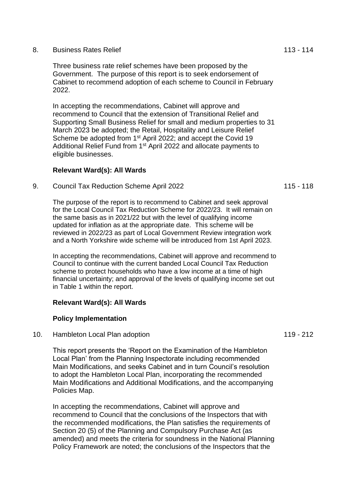#### 8. Business Rates Relief 113 - 114

Three business rate relief schemes have been proposed by the Government. The purpose of this report is to seek endorsement of Cabinet to recommend adoption of each scheme to Council in February 2022.

In accepting the recommendations, Cabinet will approve and recommend to Council that the extension of Transitional Relief and Supporting Small Business Relief for small and medium properties to 31 March 2023 be adopted; the Retail, Hospitality and Leisure Relief Scheme be adopted from 1<sup>st</sup> April 2022; and accept the Covid 19 Additional Relief Fund from 1<sup>st</sup> April 2022 and allocate payments to eligible businesses.

## **Relevant Ward(s): All Wards**

9. Council Tax Reduction Scheme April 2022 115 - 118

The purpose of the report is to recommend to Cabinet and seek approval for the Local Council Tax Reduction Scheme for 2022/23. It will remain on the same basis as in 2021/22 but with the level of qualifying income updated for inflation as at the appropriate date. This scheme will be reviewed in 2022/23 as part of Local Government Review integration work and a North Yorkshire wide scheme will be introduced from 1st April 2023.

In accepting the recommendations, Cabinet will approve and recommend to Council to continue with the current banded Local Council Tax Reduction scheme to protect households who have a low income at a time of high financial uncertainty; and approval of the levels of qualifying income set out in Table 1 within the report.

#### **Relevant Ward(s): All Wards**

#### **Policy Implementation**

10. Hambleton Local Plan adoption 10. Intervention 119 - 212

This report presents the 'Report on the Examination of the Hambleton Local Plan' from the Planning Inspectorate including recommended Main Modifications, and seeks Cabinet and in turn Council's resolution to adopt the Hambleton Local Plan, incorporating the recommended Main Modifications and Additional Modifications, and the accompanying Policies Map.

In accepting the recommendations, Cabinet will approve and recommend to Council that the conclusions of the Inspectors that with the recommended modifications, the Plan satisfies the requirements of Section 20 (5) of the Planning and Compulsory Purchase Act (as amended) and meets the criteria for soundness in the National Planning Policy Framework are noted; the conclusions of the Inspectors that the